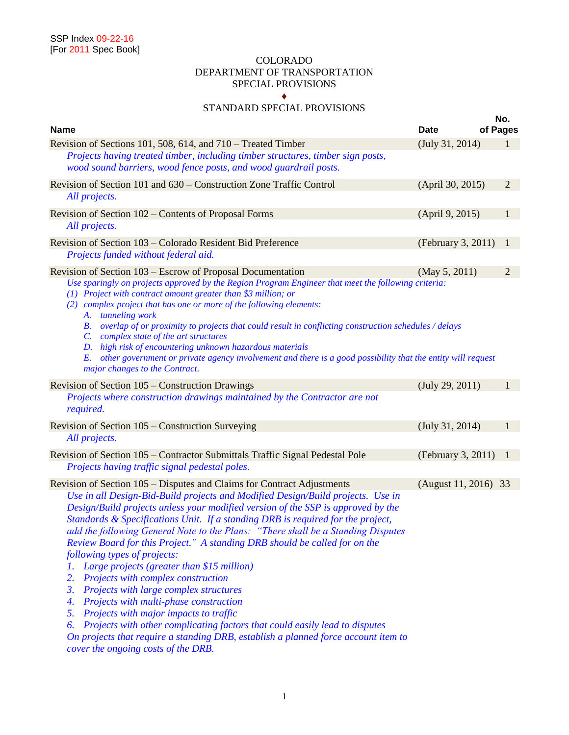### COLORADO DEPARTMENT OF TRANSPORTATION SPECIAL PROVISIONS ♦

# STANDARD SPECIAL PROVISIONS

|                                                                                                                                                                                                                                                                                                                                                                                                                                                                                                                                                                                                                                                                                                                                                                                                                                                                                                                                                                                                      |                      | No.      |                |
|------------------------------------------------------------------------------------------------------------------------------------------------------------------------------------------------------------------------------------------------------------------------------------------------------------------------------------------------------------------------------------------------------------------------------------------------------------------------------------------------------------------------------------------------------------------------------------------------------------------------------------------------------------------------------------------------------------------------------------------------------------------------------------------------------------------------------------------------------------------------------------------------------------------------------------------------------------------------------------------------------|----------------------|----------|----------------|
| <b>Name</b>                                                                                                                                                                                                                                                                                                                                                                                                                                                                                                                                                                                                                                                                                                                                                                                                                                                                                                                                                                                          | <b>Date</b>          | of Pages |                |
| Revision of Sections 101, 508, 614, and 710 – Treated Timber                                                                                                                                                                                                                                                                                                                                                                                                                                                                                                                                                                                                                                                                                                                                                                                                                                                                                                                                         | (July 31, 2014)      |          | $\mathbf{1}$   |
| Projects having treated timber, including timber structures, timber sign posts,<br>wood sound barriers, wood fence posts, and wood guardrail posts.                                                                                                                                                                                                                                                                                                                                                                                                                                                                                                                                                                                                                                                                                                                                                                                                                                                  |                      |          |                |
| Revision of Section 101 and 630 – Construction Zone Traffic Control<br>All projects.                                                                                                                                                                                                                                                                                                                                                                                                                                                                                                                                                                                                                                                                                                                                                                                                                                                                                                                 | (April 30, 2015)     |          | $\overline{2}$ |
| Revision of Section 102 – Contents of Proposal Forms<br>All projects.                                                                                                                                                                                                                                                                                                                                                                                                                                                                                                                                                                                                                                                                                                                                                                                                                                                                                                                                | (April 9, 2015)      |          | 1              |
| Revision of Section 103 – Colorado Resident Bid Preference<br>Projects funded without federal aid.                                                                                                                                                                                                                                                                                                                                                                                                                                                                                                                                                                                                                                                                                                                                                                                                                                                                                                   | (February 3, 2011)   |          | 1              |
| Revision of Section 103 – Escrow of Proposal Documentation<br>Use sparingly on projects approved by the Region Program Engineer that meet the following criteria:<br>(1) Project with contract amount greater than $$3$ million; or<br>(2) complex project that has one or more of the following elements:<br>A. tunneling work<br>overlap of or proximity to projects that could result in conflicting construction schedules / delays<br>В.<br>complex state of the art structures<br>$\mathcal{C}$ .<br>high risk of encountering unknown hazardous materials<br>D.<br>other government or private agency involvement and there is a good possibility that the entity will request<br>E.                                                                                                                                                                                                                                                                                                          | (May 5, 2011)        |          | 2              |
| major changes to the Contract.<br>Revision of Section 105 – Construction Drawings                                                                                                                                                                                                                                                                                                                                                                                                                                                                                                                                                                                                                                                                                                                                                                                                                                                                                                                    | (July 29, 2011)      |          | 1              |
| Projects where construction drawings maintained by the Contractor are not<br>required.                                                                                                                                                                                                                                                                                                                                                                                                                                                                                                                                                                                                                                                                                                                                                                                                                                                                                                               |                      |          |                |
| Revision of Section 105 – Construction Surveying<br>All projects.                                                                                                                                                                                                                                                                                                                                                                                                                                                                                                                                                                                                                                                                                                                                                                                                                                                                                                                                    | (July 31, 2014)      |          | $\mathbf{1}$   |
| Revision of Section 105 – Contractor Submittals Traffic Signal Pedestal Pole<br>Projects having traffic signal pedestal poles.                                                                                                                                                                                                                                                                                                                                                                                                                                                                                                                                                                                                                                                                                                                                                                                                                                                                       | (February 3, 2011)   | -1       |                |
| Revision of Section 105 – Disputes and Claims for Contract Adjustments<br>Use in all Design-Bid-Build projects and Modified Design/Build projects. Use in<br>Design/Build projects unless your modified version of the SSP is approved by the<br>Standards & Specifications Unit. If a standing DRB is required for the project,<br>add the following General Note to the Plans: "There shall be a Standing Disputes<br>Review Board for this Project." A standing DRB should be called for on the<br>following types of projects:<br>Large projects (greater than \$15 million)<br>Ι.<br>Projects with complex construction<br>2.<br>3.<br>Projects with large complex structures<br>Projects with multi-phase construction<br>4.<br>Projects with major impacts to traffic<br>5.<br>Projects with other complicating factors that could easily lead to disputes<br>6.<br>On projects that require a standing DRB, establish a planned force account item to<br>cover the ongoing costs of the DRB. | (August 11, 2016) 33 |          |                |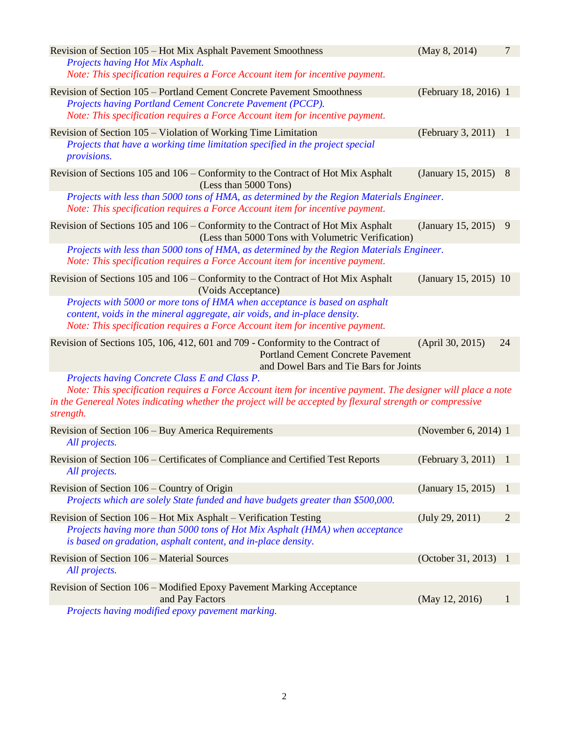| Revision of Section 105 – Hot Mix Asphalt Pavement Smoothness                                                                                                              | (May 8, 2014)         | $\tau$         |
|----------------------------------------------------------------------------------------------------------------------------------------------------------------------------|-----------------------|----------------|
| Projects having Hot Mix Asphalt.<br>Note: This specification requires a Force Account item for incentive payment.                                                          |                       |                |
|                                                                                                                                                                            |                       |                |
| Revision of Section 105 – Portland Cement Concrete Pavement Smoothness<br>Projects having Portland Cement Concrete Pavement (PCCP).                                        | (February 18, 2016) 1 |                |
| Note: This specification requires a Force Account item for incentive payment.                                                                                              |                       |                |
| Revision of Section 105 – Violation of Working Time Limitation                                                                                                             | (February 3, 2011)    | $\blacksquare$ |
| Projects that have a working time limitation specified in the project special<br>provisions.                                                                               |                       |                |
| Revision of Sections 105 and 106 – Conformity to the Contract of Hot Mix Asphalt<br>(Less than 5000 Tons)                                                                  | (January 15, 2015)    | 8              |
| Projects with less than 5000 tons of HMA, as determined by the Region Materials Engineer.<br>Note: This specification requires a Force Account item for incentive payment. |                       |                |
| Revision of Sections 105 and 106 – Conformity to the Contract of Hot Mix Asphalt<br>(Less than 5000 Tons with Volumetric Verification)                                     | (January 15, 2015)    | -9             |
| Projects with less than 5000 tons of HMA, as determined by the Region Materials Engineer.<br>Note: This specification requires a Force Account item for incentive payment. |                       |                |
| Revision of Sections 105 and 106 – Conformity to the Contract of Hot Mix Asphalt<br>(Voids Acceptance)                                                                     | (January 15, 2015) 10 |                |
| Projects with 5000 or more tons of HMA when acceptance is based on asphalt                                                                                                 |                       |                |
| content, voids in the mineral aggregate, air voids, and in-place density.                                                                                                  |                       |                |
| Note: This specification requires a Force Account item for incentive payment.                                                                                              |                       |                |
| Revision of Sections 105, 106, 412, 601 and 709 - Conformity to the Contract of<br><b>Portland Cement Concrete Pavement</b><br>and Dowel Bars and Tie Bars for Joints      | (April 30, 2015)      | 24             |
| Projects having Concrete Class E and Class P.                                                                                                                              |                       |                |
| Note: This specification requires a Force Account item for incentive payment. The designer will place a note                                                               |                       |                |
| in the Genereal Notes indicating whether the project will be accepted by flexural strength or compressive<br>strength.                                                     |                       |                |
| Revision of Section 106 - Buy America Requirements                                                                                                                         | (November 6, 2014) 1  |                |
| All projects.                                                                                                                                                              |                       |                |
| Revision of Section 106 – Certificates of Compliance and Certified Test Reports<br>All projects.                                                                           | (February 3, 2011) 1  |                |
|                                                                                                                                                                            |                       |                |
| Revision of Section 106 – Country of Origin<br>Projects which are solely State funded and have budgets greater than \$500,000.                                             | (January 15, 2015)    | - 1            |
| Revision of Section 106 - Hot Mix Asphalt - Verification Testing                                                                                                           | (July 29, 2011)       | $\overline{2}$ |
| Projects having more than 5000 tons of Hot Mix Asphalt (HMA) when acceptance<br>is based on gradation, asphalt content, and in-place density.                              |                       |                |
|                                                                                                                                                                            |                       |                |
| Revision of Section 106 – Material Sources                                                                                                                                 | (October 31, 2013) 1  |                |
| All projects.                                                                                                                                                              |                       |                |
| Revision of Section 106 - Modified Epoxy Pavement Marking Acceptance<br>and Pay Factors                                                                                    | (May 12, 2016)        | 1              |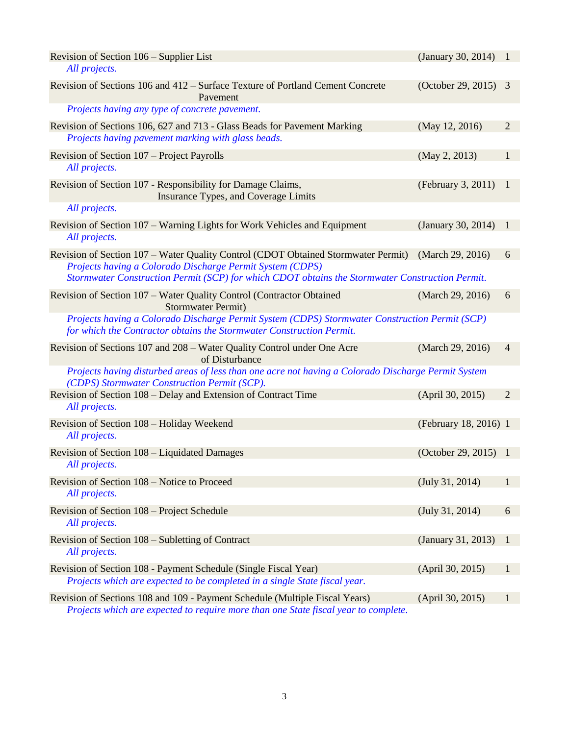| Revision of Section 106 – Supplier List<br>All projects.                                                                                                               | (January 30, 2014) 1  |                |
|------------------------------------------------------------------------------------------------------------------------------------------------------------------------|-----------------------|----------------|
| Revision of Sections 106 and 412 – Surface Texture of Portland Cement Concrete<br>Pavement                                                                             | (October 29, 2015) 3  |                |
| Projects having any type of concrete pavement.                                                                                                                         |                       |                |
| Revision of Sections 106, 627 and 713 - Glass Beads for Pavement Marking<br>Projects having pavement marking with glass beads.                                         | (May 12, 2016)        | $\overline{2}$ |
| Revision of Section 107 – Project Payrolls<br>All projects.                                                                                                            | (May 2, 2013)         | $\mathbf{1}$   |
| Revision of Section 107 - Responsibility for Damage Claims,<br>Insurance Types, and Coverage Limits                                                                    | (February 3, 2011)    | $\mathbf{1}$   |
| All projects.                                                                                                                                                          |                       |                |
| Revision of Section 107 – Warning Lights for Work Vehicles and Equipment<br>All projects.                                                                              | (January 30, 2014)    | -1             |
| Revision of Section 107 – Water Quality Control (CDOT Obtained Stormwater Permit) (March 29, 2016)                                                                     |                       | 6              |
| Projects having a Colorado Discharge Permit System (CDPS)<br>Stormwater Construction Permit (SCP) for which CDOT obtains the Stormwater Construction Permit.           |                       |                |
| Revision of Section 107 - Water Quality Control (Contractor Obtained<br><b>Stormwater Permit)</b>                                                                      | (March 29, 2016)      | 6              |
| Projects having a Colorado Discharge Permit System (CDPS) Stormwater Construction Permit (SCP)<br>for which the Contractor obtains the Stormwater Construction Permit. |                       |                |
| Revision of Sections 107 and 208 – Water Quality Control under One Acre<br>of Disturbance                                                                              | (March 29, 2016)      | $\overline{4}$ |
| Projects having disturbed areas of less than one acre not having a Colorado Discharge Permit System<br>(CDPS) Stormwater Construction Permit (SCP).                    |                       |                |
| Revision of Section 108 – Delay and Extension of Contract Time<br>All projects.                                                                                        | (April 30, 2015)      | $\overline{2}$ |
| Revision of Section 108 - Holiday Weekend<br>All projects.                                                                                                             | (February 18, 2016) 1 |                |
| Revision of Section 108 – Liquidated Damages<br>All projects.                                                                                                          | (October 29, 2015) 1  |                |
| Revision of Section 108 – Notice to Proceed<br>All projects.                                                                                                           | (July 31, 2014)       | 1              |
| Revision of Section 108 – Project Schedule<br>All projects.                                                                                                            | (July 31, 2014)       | 6              |
| Revision of Section 108 – Subletting of Contract                                                                                                                       | (January 31, 2013)    | 1              |
| All projects.                                                                                                                                                          |                       |                |
| Revision of Section 108 - Payment Schedule (Single Fiscal Year)<br>Projects which are expected to be completed in a single State fiscal year.                          | (April 30, 2015)      | 1              |
| Revision of Sections 108 and 109 - Payment Schedule (Multiple Fiscal Years)                                                                                            | (April 30, 2015)      | 1              |
| <b>Projects which are expected to require more than one State fiscal year to complete</b>                                                                              |                       |                |

*Projects which are expected to require more than one State fiscal year to complete.*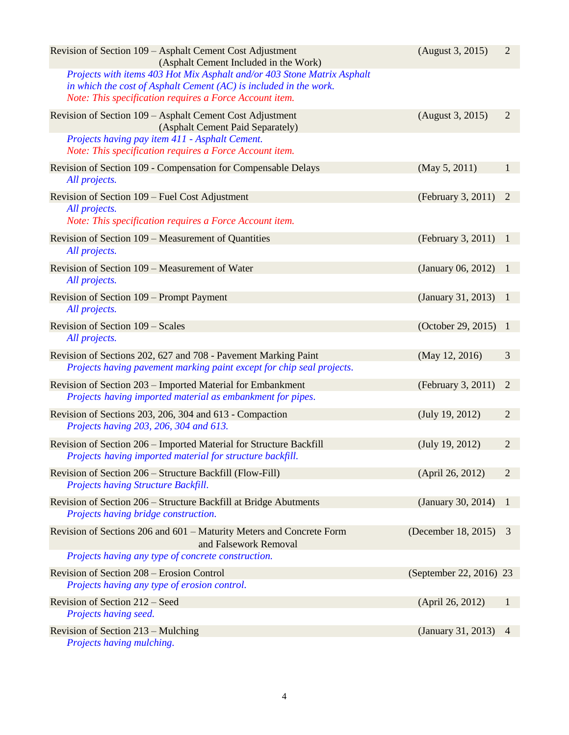| Revision of Section 109 – Asphalt Cement Cost Adjustment<br>(Asphalt Cement Included in the Work)                                                                                                         | (August 3, 2015)        | $\overline{2}$ |
|-----------------------------------------------------------------------------------------------------------------------------------------------------------------------------------------------------------|-------------------------|----------------|
| Projects with items 403 Hot Mix Asphalt and/or 403 Stone Matrix Asphalt<br>in which the cost of Asphalt Cement $(AC)$ is included in the work.<br>Note: This specification requires a Force Account item. |                         |                |
| Revision of Section 109 - Asphalt Cement Cost Adjustment<br>(Asphalt Cement Paid Separately)                                                                                                              | (August 3, 2015)        | $\overline{2}$ |
| Projects having pay item 411 - Asphalt Cement.<br>Note: This specification requires a Force Account item.                                                                                                 |                         |                |
| Revision of Section 109 - Compensation for Compensable Delays<br>All projects.                                                                                                                            | (May 5, 2011)           | $\mathbf{1}$   |
| Revision of Section 109 – Fuel Cost Adjustment<br>All projects.<br>Note: This specification requires a Force Account item.                                                                                | (February 3, 2011)      | 2              |
| Revision of Section 109 – Measurement of Quantities<br>All projects.                                                                                                                                      | (February 3, 2011)      | $\mathbf{1}$   |
| Revision of Section 109 – Measurement of Water<br>All projects.                                                                                                                                           | (January 06, 2012)      | -1             |
| Revision of Section 109 – Prompt Payment<br>All projects.                                                                                                                                                 | (January 31, 2013)      | $\overline{1}$ |
| Revision of Section 109 – Scales<br>All projects.                                                                                                                                                         | (October 29, 2015) 1    |                |
| Revision of Sections 202, 627 and 708 - Pavement Marking Paint<br>Projects having pavement marking paint except for chip seal projects.                                                                   | (May 12, 2016)          | 3              |
| Revision of Section 203 – Imported Material for Embankment<br>Projects having imported material as embankment for pipes.                                                                                  | (February 3, 2011)      | 2              |
| Revision of Sections 203, 206, 304 and 613 - Compaction<br>Projects having 203, 206, 304 and 613.                                                                                                         | (July 19, 2012)         | $\overline{2}$ |
| Revision of Section 206 - Imported Material for Structure Backfill<br>Projects having imported material for structure backfill.                                                                           | (July 19, 2012)         | $\overline{2}$ |
| Revision of Section 206 – Structure Backfill (Flow-Fill)<br>Projects having Structure Backfill.                                                                                                           | (April 26, 2012)        | $\overline{2}$ |
| Revision of Section 206 – Structure Backfill at Bridge Abutments<br>Projects having bridge construction.                                                                                                  | (January 30, 2014)      | -1             |
| Revision of Sections 206 and 601 – Maturity Meters and Concrete Form<br>and Falsework Removal                                                                                                             | (December 18, 2015)     | 3              |
| Projects having any type of concrete construction.                                                                                                                                                        |                         |                |
| Revision of Section 208 – Erosion Control<br>Projects having any type of erosion control.                                                                                                                 | (September 22, 2016) 23 |                |
| Revision of Section 212 – Seed<br>Projects having seed.                                                                                                                                                   | (April 26, 2012)        | $\mathbf{1}$   |
| Revision of Section 213 - Mulching<br>Projects having mulching.                                                                                                                                           | (January 31, 2013)      | $\overline{4}$ |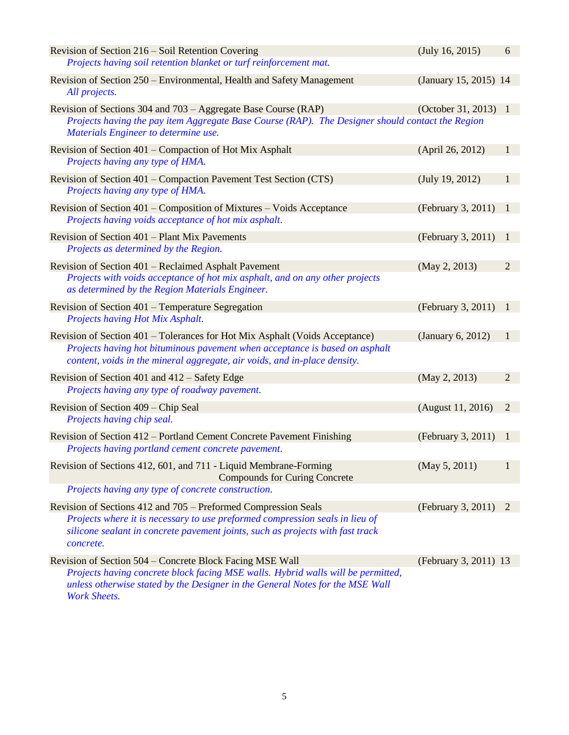| Revision of Section 216 – Soil Retention Covering                                                                                                                                                                                                    | (July 16, 2015)       | 6              |
|------------------------------------------------------------------------------------------------------------------------------------------------------------------------------------------------------------------------------------------------------|-----------------------|----------------|
| Projects having soil retention blanket or turf reinforcement mat.                                                                                                                                                                                    |                       |                |
| Revision of Section 250 – Environmental, Health and Safety Management<br>All projects.                                                                                                                                                               | (January 15, 2015) 14 |                |
| Revision of Sections 304 and 703 – Aggregate Base Course (RAP)                                                                                                                                                                                       | (October 31, 2013) 1  |                |
| Projects having the pay item Aggregate Base Course (RAP). The Designer should contact the Region<br>Materials Engineer to determine use.                                                                                                             |                       |                |
| Revision of Section 401 – Compaction of Hot Mix Asphalt<br>Projects having any type of HMA.                                                                                                                                                          | (April 26, 2012)      | $\mathbf{1}$   |
| Revision of Section 401 – Compaction Pavement Test Section (CTS)<br>Projects having any type of HMA.                                                                                                                                                 | (July 19, 2012)       | 1              |
| Revision of Section 401 – Composition of Mixtures – Voids Acceptance<br>Projects having voids acceptance of hot mix asphalt.                                                                                                                         | (February 3, 2011)    | $\mathbf{1}$   |
| Revision of Section 401 – Plant Mix Pavements<br>Projects as determined by the Region.                                                                                                                                                               | (February 3, 2011)    | -1             |
| Revision of Section 401 – Reclaimed Asphalt Pavement<br>Projects with voids acceptance of hot mix asphalt, and on any other projects<br>as determined by the Region Materials Engineer.                                                              | (May 2, 2013)         | $\overline{2}$ |
| Revision of Section 401 – Temperature Segregation<br>Projects having Hot Mix Asphalt.                                                                                                                                                                | (February 3, 2011)    | -1             |
| Revision of Section 401 – Tolerances for Hot Mix Asphalt (Voids Acceptance)<br>Projects having hot bituminous pavement when acceptance is based on asphalt<br>content, voids in the mineral aggregate, air voids, and in-place density.              | (January 6, 2012)     | 1              |
| Revision of Section 401 and 412 – Safety Edge<br>Projects having any type of roadway pavement.                                                                                                                                                       | (May 2, 2013)         | $\overline{2}$ |
| Revision of Section 409 – Chip Seal<br>Projects having chip seal.                                                                                                                                                                                    | (August 11, 2016)     | $\overline{2}$ |
| Revision of Section 412 – Portland Cement Concrete Pavement Finishing<br>Projects having portland cement concrete pavement.                                                                                                                          | (February 3, 2011)    | -1             |
| Revision of Sections 412, 601, and 711 - Liquid Membrane-Forming<br><b>Compounds for Curing Concrete</b>                                                                                                                                             | (May 5, 2011)         | 1              |
| Projects having any type of concrete construction.                                                                                                                                                                                                   |                       |                |
| Revision of Sections 412 and 705 – Preformed Compression Seals<br>Projects where it is necessary to use preformed compression seals in lieu of<br>silicone sealant in concrete pavement joints, such as projects with fast track<br>concrete.        | (February 3, 2011) 2  |                |
| Revision of Section 504 – Concrete Block Facing MSE Wall<br>Projects having concrete block facing MSE walls. Hybrid walls will be permitted,<br>unless otherwise stated by the Designer in the General Notes for the MSE Wall<br><b>Work Sheets.</b> | (February 3, 2011) 13 |                |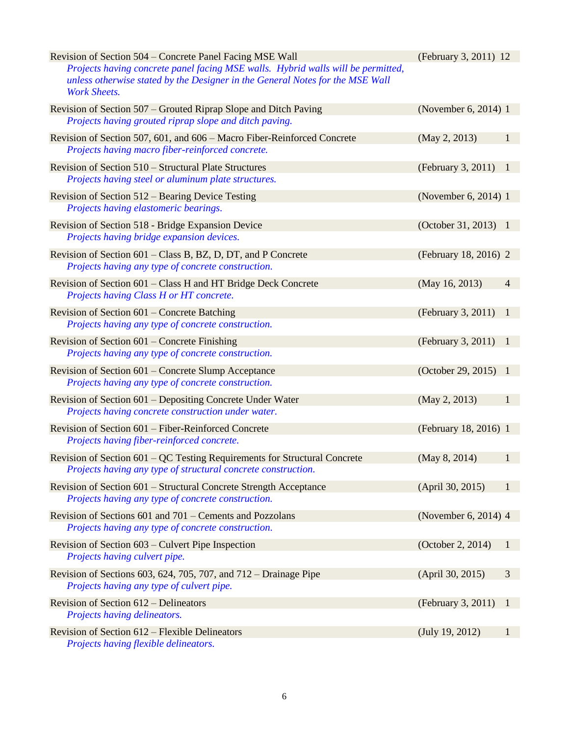| Revision of Section 504 – Concrete Panel Facing MSE Wall<br>Projects having concrete panel facing MSE walls. Hybrid walls will be permitted,<br>unless otherwise stated by the Designer in the General Notes for the MSE Wall<br><b>Work Sheets.</b> | (February 3, 2011) 12 |                |
|------------------------------------------------------------------------------------------------------------------------------------------------------------------------------------------------------------------------------------------------------|-----------------------|----------------|
| Revision of Section 507 – Grouted Riprap Slope and Ditch Paving<br>Projects having grouted riprap slope and ditch paving.                                                                                                                            | (November 6, 2014) 1  |                |
| Revision of Section 507, 601, and 606 – Macro Fiber-Reinforced Concrete<br>Projects having macro fiber-reinforced concrete.                                                                                                                          | (May 2, 2013)         | 1              |
| Revision of Section 510 – Structural Plate Structures<br>Projects having steel or aluminum plate structures.                                                                                                                                         | (February 3, 2011)    | $\mathbf{1}$   |
| Revision of Section 512 – Bearing Device Testing<br>Projects having elastomeric bearings.                                                                                                                                                            | (November 6, 2014) 1  |                |
| Revision of Section 518 - Bridge Expansion Device<br>Projects having bridge expansion devices.                                                                                                                                                       | (October 31, 2013) 1  |                |
| Revision of Section 601 – Class B, BZ, D, DT, and P Concrete<br>Projects having any type of concrete construction.                                                                                                                                   | (February 18, 2016) 2 |                |
| Revision of Section 601 – Class H and HT Bridge Deck Concrete<br>Projects having Class H or HT concrete.                                                                                                                                             | (May 16, 2013)        | $\overline{4}$ |
| Revision of Section 601 – Concrete Batching<br>Projects having any type of concrete construction.                                                                                                                                                    | (February 3, 2011)    | -1             |
| Revision of Section 601 – Concrete Finishing<br>Projects having any type of concrete construction.                                                                                                                                                   | (February 3, 2011)    | -1             |
| Revision of Section 601 – Concrete Slump Acceptance<br>Projects having any type of concrete construction.                                                                                                                                            | (October 29, 2015) 1  |                |
| Revision of Section 601 – Depositing Concrete Under Water<br>Projects having concrete construction under water.                                                                                                                                      | (May 2, 2013)         | 1              |
| Revision of Section 601 – Fiber-Reinforced Concrete<br>Projects having fiber-reinforced concrete.                                                                                                                                                    | (February 18, 2016) 1 |                |
| Revision of Section 601 – QC Testing Requirements for Structural Concrete<br>Projects having any type of structural concrete construction.                                                                                                           | (May 8, 2014)         | $\mathbf{1}$   |
| Revision of Section 601 – Structural Concrete Strength Acceptance<br>Projects having any type of concrete construction.                                                                                                                              | (April 30, 2015)      | 1              |
| Revision of Sections 601 and 701 – Cements and Pozzolans<br>Projects having any type of concrete construction.                                                                                                                                       | (November 6, 2014) 4  |                |
| Revision of Section 603 – Culvert Pipe Inspection<br>Projects having culvert pipe.                                                                                                                                                                   | (October 2, 2014)     | $\mathbf{1}$   |
| Revision of Sections 603, 624, 705, 707, and $712 -$ Drainage Pipe<br>Projects having any type of culvert pipe.                                                                                                                                      | (April 30, 2015)      | 3              |
| Revision of Section 612 – Delineators<br>Projects having delineators.                                                                                                                                                                                | (February 3, 2011)    | $\mathbf{1}$   |
| Revision of Section 612 – Flexible Delineators<br>Projects having flexible delineators.                                                                                                                                                              | (July 19, 2012)       | 1              |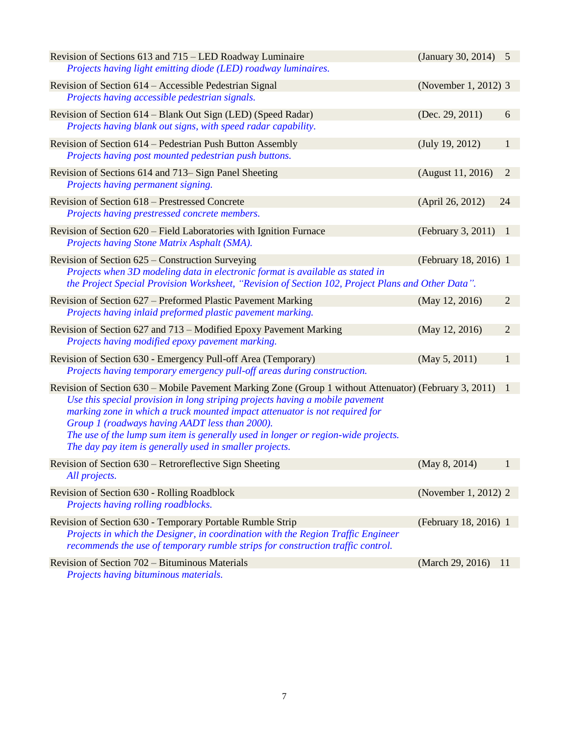| Revision of Sections 613 and 715 – LED Roadway Luminaire<br>Projects having light emitting diode (LED) roadway luminaires.                                                                                                                                                                                                                                                                                                                                               | (January 30, 2014) 5  |                |
|--------------------------------------------------------------------------------------------------------------------------------------------------------------------------------------------------------------------------------------------------------------------------------------------------------------------------------------------------------------------------------------------------------------------------------------------------------------------------|-----------------------|----------------|
| Revision of Section 614 – Accessible Pedestrian Signal<br>Projects having accessible pedestrian signals.                                                                                                                                                                                                                                                                                                                                                                 | (November 1, 2012) 3  |                |
| Revision of Section 614 – Blank Out Sign (LED) (Speed Radar)<br>Projects having blank out signs, with speed radar capability.                                                                                                                                                                                                                                                                                                                                            | (Dec. 29, 2011)       | 6              |
| Revision of Section 614 – Pedestrian Push Button Assembly<br>Projects having post mounted pedestrian push buttons.                                                                                                                                                                                                                                                                                                                                                       | (July 19, 2012)       | $\mathbf{1}$   |
| Revision of Sections 614 and 713– Sign Panel Sheeting<br>Projects having permanent signing.                                                                                                                                                                                                                                                                                                                                                                              | (August 11, 2016)     | $\overline{2}$ |
| Revision of Section 618 – Prestressed Concrete<br>Projects having prestressed concrete members.                                                                                                                                                                                                                                                                                                                                                                          | (April 26, 2012)      | 24             |
| Revision of Section 620 – Field Laboratories with Ignition Furnace<br>Projects having Stone Matrix Asphalt (SMA).                                                                                                                                                                                                                                                                                                                                                        | (February 3, 2011)    | $\mathbf{1}$   |
| Revision of Section 625 – Construction Surveying<br>Projects when 3D modeling data in electronic format is available as stated in<br>the Project Special Provision Worksheet, "Revision of Section 102, Project Plans and Other Data".                                                                                                                                                                                                                                   | (February 18, 2016) 1 |                |
| Revision of Section 627 – Preformed Plastic Pavement Marking<br>Projects having inlaid preformed plastic pavement marking.                                                                                                                                                                                                                                                                                                                                               | (May 12, 2016)        | $\overline{2}$ |
| Revision of Section 627 and 713 – Modified Epoxy Pavement Marking<br>Projects having modified epoxy pavement marking.                                                                                                                                                                                                                                                                                                                                                    | (May 12, 2016)        | $\overline{2}$ |
| Revision of Section 630 - Emergency Pull-off Area (Temporary)<br>Projects having temporary emergency pull-off areas during construction.                                                                                                                                                                                                                                                                                                                                 | (May 5, 2011)         | $\mathbf{1}$   |
| Revision of Section 630 – Mobile Pavement Marking Zone (Group 1 without Attenuator) (February 3, 2011)<br>Use this special provision in long striping projects having a mobile pavement<br>marking zone in which a truck mounted impact attenuator is not required for<br>Group 1 (roadways having AADT less than 2000).<br>The use of the lump sum item is generally used in longer or region-wide projects.<br>The day pay item is generally used in smaller projects. |                       | -1             |
| Revision of Section 630 - Retroreflective Sign Sheeting<br>All projects.                                                                                                                                                                                                                                                                                                                                                                                                 | (May 8, 2014)         |                |
| Revision of Section 630 - Rolling Roadblock<br>Projects having rolling roadblocks.                                                                                                                                                                                                                                                                                                                                                                                       | (November 1, 2012) 2  |                |
| Revision of Section 630 - Temporary Portable Rumble Strip<br>Projects in which the Designer, in coordination with the Region Traffic Engineer<br>recommends the use of temporary rumble strips for construction traffic control.                                                                                                                                                                                                                                         | (February 18, 2016) 1 |                |
| Revision of Section 702 - Bituminous Materials<br>Projects having bituminous materials.                                                                                                                                                                                                                                                                                                                                                                                  | (March 29, 2016)      | 11             |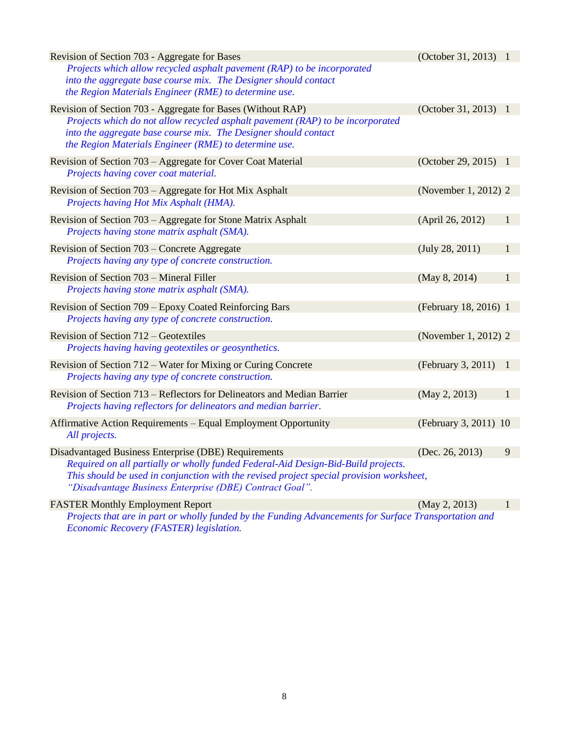| Revision of Section 703 - Aggregate for Bases                                                                                                       | (October 31, 2013) 1  |              |
|-----------------------------------------------------------------------------------------------------------------------------------------------------|-----------------------|--------------|
| Projects which allow recycled asphalt pavement (RAP) to be incorporated                                                                             |                       |              |
| into the aggregate base course mix. The Designer should contact<br>the Region Materials Engineer (RME) to determine use.                            |                       |              |
|                                                                                                                                                     |                       |              |
| Revision of Section 703 - Aggregate for Bases (Without RAP)<br>Projects which do not allow recycled asphalt pavement (RAP) to be incorporated       | (October 31, 2013) 1  |              |
| into the aggregate base course mix. The Designer should contact                                                                                     |                       |              |
| the Region Materials Engineer (RME) to determine use.                                                                                               |                       |              |
| Revision of Section 703 – Aggregate for Cover Coat Material                                                                                         | (October 29, 2015) 1  |              |
| Projects having cover coat material.                                                                                                                |                       |              |
| Revision of Section 703 – Aggregate for Hot Mix Asphalt                                                                                             | (November 1, 2012) 2  |              |
| Projects having Hot Mix Asphalt (HMA).                                                                                                              |                       |              |
| Revision of Section 703 – Aggregate for Stone Matrix Asphalt                                                                                        | (April 26, 2012)      | 1            |
| Projects having stone matrix asphalt (SMA).                                                                                                         |                       |              |
| Revision of Section 703 – Concrete Aggregate                                                                                                        | (July 28, 2011)       | 1            |
| Projects having any type of concrete construction.                                                                                                  |                       |              |
| Revision of Section 703 – Mineral Filler                                                                                                            | (May 8, 2014)         | 1            |
| Projects having stone matrix asphalt (SMA).                                                                                                         |                       |              |
| Revision of Section 709 - Epoxy Coated Reinforcing Bars                                                                                             | (February 18, 2016) 1 |              |
| Projects having any type of concrete construction.                                                                                                  |                       |              |
| Revision of Section 712 – Geotextiles                                                                                                               | (November 1, 2012) 2  |              |
| Projects having having geotextiles or geosynthetics.                                                                                                |                       |              |
| Revision of Section 712 – Water for Mixing or Curing Concrete                                                                                       | (February 3, 2011)    | -1           |
| Projects having any type of concrete construction.                                                                                                  |                       |              |
| Revision of Section 713 – Reflectors for Delineators and Median Barrier                                                                             | (May 2, 2013)         | 1            |
| Projects having reflectors for delineators and median barrier.                                                                                      |                       |              |
| Affirmative Action Requirements - Equal Employment Opportunity                                                                                      | (February 3, 2011) 10 |              |
| All projects.                                                                                                                                       |                       |              |
| Disadvantaged Business Enterprise (DBE) Requirements                                                                                                | (Dec. 26, 2013)       | 9            |
| Required on all partially or wholly funded Federal-Aid Design-Bid-Build projects.                                                                   |                       |              |
| This should be used in conjunction with the revised project special provision worksheet,<br>"Disadvantage Business Enterprise (DBE) Contract Goal". |                       |              |
| <b>FASTER Monthly Employment Report</b>                                                                                                             | (May 2, 2013)         | $\mathbf{1}$ |
|                                                                                                                                                     |                       |              |

*Projects that are in part or wholly funded by the Funding Advancements for Surface Transportation and Economic Recovery (FASTER) legislation.*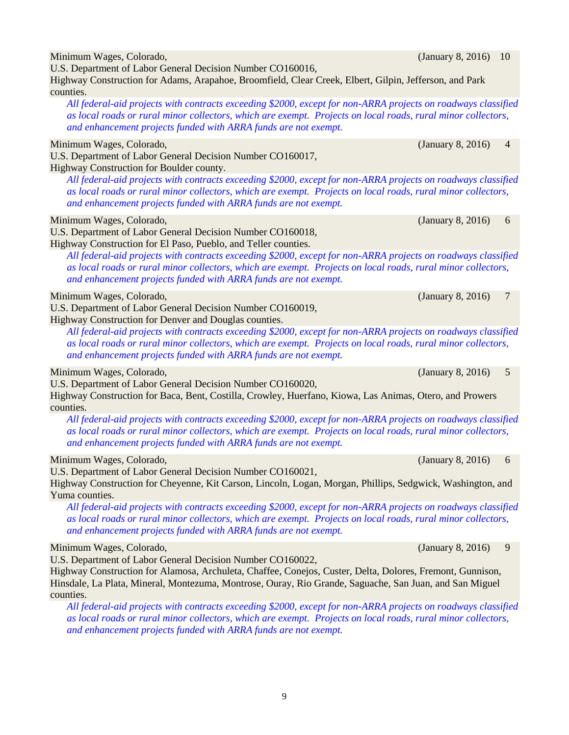*and enhancement projects funded with ARRA funds are not exempt.* Minimum Wages, Colorado, (January 8, 2016) 6 Highway Construction for El Paso, Pueblo, and Teller counties. *and enhancement projects funded with ARRA funds are not exempt.* Minimum Wages, Colorado, (January 8, 2016) 7 *and enhancement projects funded with ARRA funds are not exempt.* Minimum Wages, Colorado, **1992** Colorado, 1992, 1993, 1994, 1996, 1996, 1997, 1998, 1998, 1998, 1999, 1999, 1999, 1999, 1999, 1999, 1999, 1999, 1999, 1999, 1999, 1999, 1999, 1999, 1999, 1999, 1999, 1999, 1999, 1999, 1999, U.S. Department of Labor General Decision Number CO160020,

*All federal-aid projects with contracts exceeding \$2000, except for non-ARRA projects on roadways classified as local roads or rural minor collectors, which are exempt. Projects on local roads, rural minor collectors, and enhancement projects funded with ARRA funds are not exempt.*

U.S. Department of Labor General Decision Number CO160021,

Highway Construction for Cheyenne, Kit Carson, Lincoln, Logan, Morgan, Phillips, Sedgwick, Washington, and Yuma counties.

*All federal-aid projects with contracts exceeding \$2000, except for non-ARRA projects on roadways classified as local roads or rural minor collectors, which are exempt. Projects on local roads, rural minor collectors, and enhancement projects funded with ARRA funds are not exempt.*

## Minimum Wages, Colorado, (January 8, 2016) 9

U.S. Department of Labor General Decision Number CO160022,

Highway Construction for Alamosa, Archuleta, Chaffee, Conejos, Custer, Delta, Dolores, Fremont, Gunnison, Hinsdale, La Plata, Mineral, Montezuma, Montrose, Ouray, Rio Grande, Saguache, San Juan, and San Miguel counties.

*All federal-aid projects with contracts exceeding \$2000, except for non-ARRA projects on roadways classified as local roads or rural minor collectors, which are exempt. Projects on local roads, rural minor collectors, and enhancement projects funded with ARRA funds are not exempt.*

Minimum Wages, Colorado, (January 8, 2016) 10

U.S. Department of Labor General Decision Number CO160016, Highway Construction for Adams, Arapahoe, Broomfield, Clear Creek, Elbert, Gilpin, Jefferson, and Park counties.

*All federal-aid projects with contracts exceeding \$2000, except for non-ARRA projects on roadways classified as local roads or rural minor collectors, which are exempt. Projects on local roads, rural minor collectors, and enhancement projects funded with ARRA funds are not exempt.*

### Minimum Wages, Colorado, (January 8, 2016) 4

U.S. Department of Labor General Decision Number CO160017, Highway Construction for Boulder county.

*All federal-aid projects with contracts exceeding \$2000, except for non-ARRA projects on roadways classified as local roads or rural minor collectors, which are exempt. Projects on local roads, rural minor collectors,* 

U.S. Department of Labor General Decision Number CO160018,

*All federal-aid projects with contracts exceeding \$2000, except for non-ARRA projects on roadways classified as local roads or rural minor collectors, which are exempt. Projects on local roads, rural minor collectors,* 

U.S. Department of Labor General Decision Number CO160019,

Highway Construction for Denver and Douglas counties.

*All federal-aid projects with contracts exceeding \$2000, except for non-ARRA projects on roadways classified as local roads or rural minor collectors, which are exempt. Projects on local roads, rural minor collectors,* 

Highway Construction for Baca, Bent, Costilla, Crowley, Huerfano, Kiowa, Las Animas, Otero, and Prowers counties.

Minimum Wages, Colorado, (January 8, 2016) 6